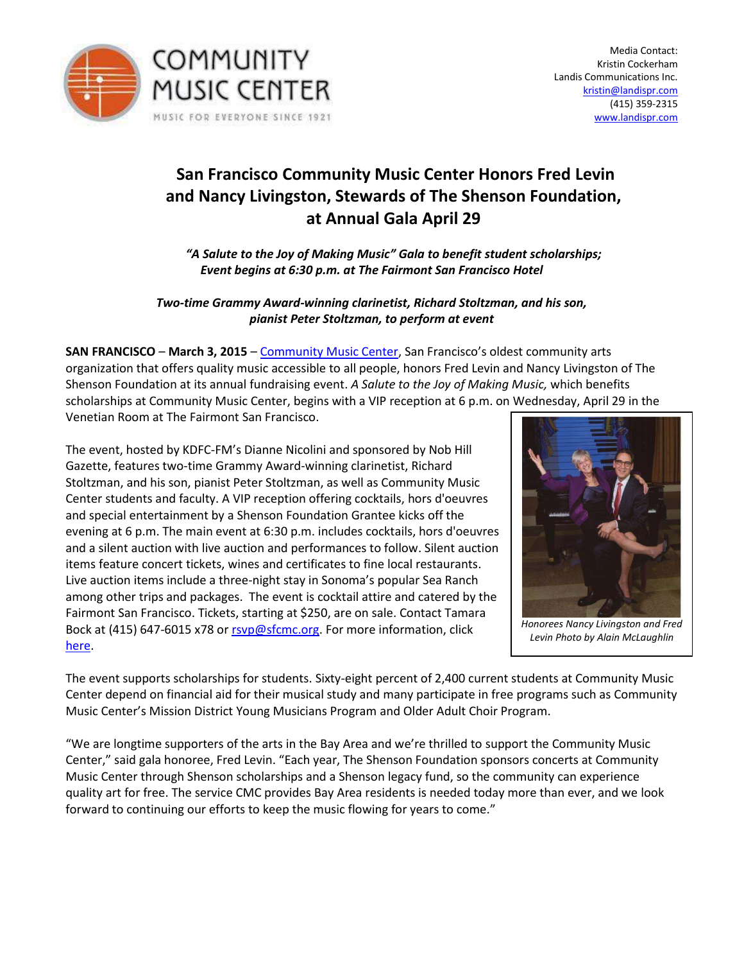

## **San Francisco Community Music Center Honors Fred Levin and Nancy Livingston, Stewards of The Shenson Foundation, at Annual Gala April 29**

*さA Salute to the Joy of Making Musicざ Gala to benefit student scholarships; Event begins at 6:30 p.m. at The Fairmont San Francisco Hotel* 

## *Two-time Grammy Award-winning clarinetist, Richard Stoltzman, and his son, pianist Peter Stoltzman, to perform at event*

**SAN FRANCISCO – March 3, 2015 – [Community Music Center,](http://sfcmc.org/) San Francisco's oldest community arts** organization that offers quality music accessible to all people, honors Fred Levin and Nancy Livingston of The Shenson Foundation at its annual fundraising event. *A Salute to the Joy of Making Music,* which benefits scholarships at Community Music Center, begins with a VIP reception at 6 p.m. on Wednesday, April 29 in the Venetian Room at The Fairmont San Francisco.

The event, hosted by KDFC-FM's Dianne Nicolini and sponsored by Nob Hill Gazette, features two-time Grammy Award-winning clarinetist, Richard Stoltzman, and his son, pianist Peter Stoltzman, as well as Community Music Center students and faculty. A VIP reception offering cocktails, hors d'oeuvres and special entertainment by a Shenson Foundation Grantee kicks off the evening at 6 p.m. The main event at 6:30 p.m. includes cocktails, hors d'oeuvres and a silent auction with live auction and performances to follow. Silent auction items feature concert tickets, wines and certificates to fine local restaurants. Live auction items include a three-night stay in Sonoma's popular Sea Ranch among other trips and packages. The event is cocktail attire and catered by the Fairmont San Francisco. Tickets, starting at \$250, are on sale. Contact Tamara Bock at (415) 647-6015 x78 o[r rsvp@sfcmc.org.](mailto:rsvp@sfcmc.org) For more information, click [here.](http://sfcmc.givezooks.com/events/gala-2015)



*Honorees Nancy Livingston and Fred Levin Photo by Alain McLaughlin* 

The event supports scholarships for students. Sixty-eight percent of 2,400 current students at Community Music Center depend on financial aid for their musical study and many participate in free programs such as Community Music Center's Mission District Young Musicians Program and Older Adult Choir Program.

"We are longtime supporters of the arts in the Bay Area and we're thrilled to support the Community Music Center," said gala honoree, Fred Levin. "Each year, The Shenson Foundation sponsors concerts at Community Music Center through Shenson scholarships and a Shenson legacy fund, so the community can experience quality art for free. The service CMC provides Bay Area residents is needed today more than ever, and we look forward to continuing our efforts to keep the music flowing for years to come."